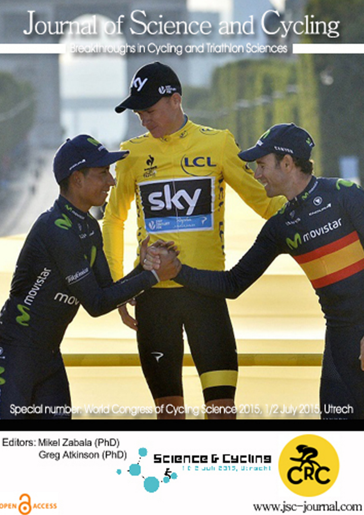# Journal of Science and Cycling

Breakthroughs in Cycling and Triathlon Sciences



Editors: Mikel Zabala (PhD) Greg Atkinson (PhD)

OPEN CACCESS





www.jsc-journal.com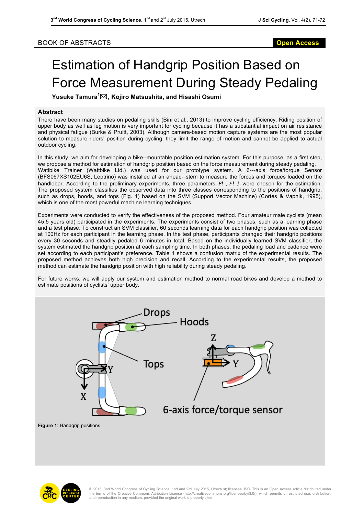### BOOK OF ABSTRACTS **Open Access**

## Estimation of Handgrip Position Based on Force Measurement During Steady Pedaling

**Yusuke Tamura<sup>1</sup>** \***, Kojiro Matsushita, and Hisashi Osumi** 

### **Abstract**

There have been many studies on pedaling skills (Bini et al., 2013) to improve cycling efficiency. Riding position of upper body as well as leg motion is very important for cycling because it has a substantial impact on air resistance and physical fatigue (Burke & Pruitt, 2003). Although camera-based motion capture systems are the most popular solution to measure riders' position during cycling, they limit the range of motion and cannot be applied to actual outdoor cycling.

In this study, we aim for developing a bike--mountable position estimation system. For this purpose, as a first step, we propose a method for estimation of handgrip position based on the force measurement during steady pedaling. Wattbike Trainer (Wattbike Ltd.) was used for our prototype system. A 6---axis force/torque Sensor (BFS067XS102EU6S, Leptrino) was installed at an ahead-**‐**stem to measure the forces and torques loaded on the handlebar. According to the preliminary experiments, three parameters– $F!$ ,  $F!$ ,  $-$ were chosen for the estimation. The proposed system classifies the observed data into three classes corresponding to the positions of handgrip, such as drops, hoods, and tops (Fig. 1) based on the SVM (Support Vector Machine) (Cortes & Vapnik, 1995), which is one of the most powerful machine learning techniques

Experiments were conducted to verify the effectiveness of the proposed method. Four amateur male cyclists (mean 45.5 years old) participated in the experiments. The experiments consist of two phases, such as a learning phase and a test phase. To construct an SVM classifier, 60 seconds learning data for each handgrip position was collected at 100Hz for each participant in the learning phase. In the test phase, participants changed their handgrip positions every 30 seconds and steadily pedaled 6 minutes in total. Based on the individually learned SVM classifier, the system estimated the handgrip position at each sampling time. In both phases, the pedaling load and cadence were set according to each participant's preference. Table 1 shows a confusion matrix of the experimental results. The proposed method achieves both high precision and recall. According to the experimental results, the proposed method can estimate the handgrip position with high reliability during steady pedaling.

For future works, we will apply our system and estimation method to normal road bikes and develop a method to estimate positions of cyclists' upper body.